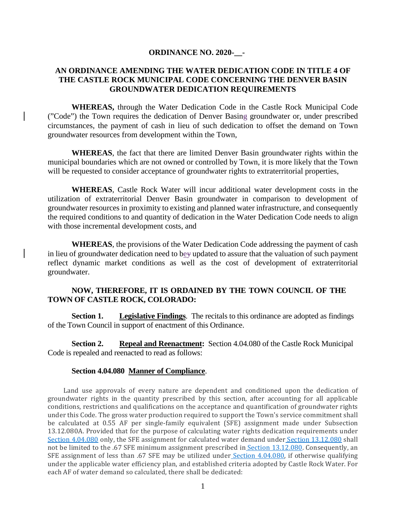#### **ORDINANCE NO. 2020-\_\_-**

### **AN ORDINANCE AMENDING THE WATER DEDICATION CODE IN TITLE 4 OF THE CASTLE ROCK MUNICIPAL CODE CONCERNING THE DENVER BASIN GROUNDWATER DEDICATION REQUIREMENTS**

**WHEREAS,** through the Water Dedication Code in the Castle Rock Municipal Code ("Code") the Town requires the dedication of Denver Basing groundwater or, under prescribed circumstances, the payment of cash in lieu of such dedication to offset the demand on Town groundwater resources from development within the Town,

**WHEREAS**, the fact that there are limited Denver Basin groundwater rights within the municipal boundaries which are not owned or controlled by Town, it is more likely that the Town will be requested to consider acceptance of groundwater rights to extraterritorial properties,

**WHEREAS**, Castle Rock Water will incur additional water development costs in the utilization of extraterritorial Denver Basin groundwater in comparison to development of groundwater resources in proximity to existing and planned water infrastructure, and consequently the required conditions to and quantity of dedication in the Water Dedication Code needs to align with those incremental development costs, and

**WHEREAS**, the provisions of the Water Dedication Code addressing the payment of cash in lieu of groundwater dedication need to bey updated to assure that the valuation of such payment reflect dynamic market conditions as well as the cost of development of extraterritorial groundwater.

## **NOW, THEREFORE, IT IS ORDAINED BY THE TOWN COUNCIL OF THE TOWN OF CASTLE ROCK, COLORADO:**

**Section 1. Legislative Findings**. The recitals to this ordinance are adopted as findings of the Town Council in support of enactment of this Ordinance.

**Section 2. Repeal and Reenactment:** Section 4.04.080 of the Castle Rock Municipal Code is repealed and reenacted to read as follows:

#### **Section 4.04.080 Manner of Compliance**.

Land use approvals of every nature are dependent and conditioned upon the dedication of groundwater rights in the quantity prescribed by this section, after accounting for all applicable conditions, restrictions and qualifications on the acceptance and quantification of groundwater rights under this Code. The gross water production required to support the Town's service commitment shall be calculated at 0.55 AF per single-family equivalent (SFE) assignment made under Subsection 13.12.080A. Provided that for the purpose of calculating water rights dedication requirements unde[r](https://library.municode.com/co/castle_rock/codes/municipal_code?nodeId=TIT4WARE_CH4.04WADECO_4.04.080MACO) [Section 4.04.080](https://library.municode.com/co/castle_rock/codes/municipal_code?nodeId=TIT4WARE_CH4.04WADECO_4.04.080MACO) only, the SFE assignment for calculated water demand under [Section 13.12.080](https://library.municode.com/co/castle_rock/codes/municipal_code?nodeId=TIT13PUSE_CH13.12UTSECH_13.12.080SYDEFE) shall not be limited to the .67 SFE minimum assignment prescribed in [Section 13.12.080.](https://library.municode.com/co/castle_rock/codes/municipal_code?nodeId=TIT13PUSE_CH13.12UTSECH_13.12.080SYDEFE) Consequently, an SFE assignment of less than .67 SFE may be utilized under [Section 4.04.080,](https://library.municode.com/co/castle_rock/codes/municipal_code?nodeId=TIT4WARE_CH4.04WADECO_4.04.080MACO) if otherwise qualifying under the applicable water efficiency plan, and established criteria adopted by Castle Rock Water. For each AF of water demand so calculated, there shall be dedicated: